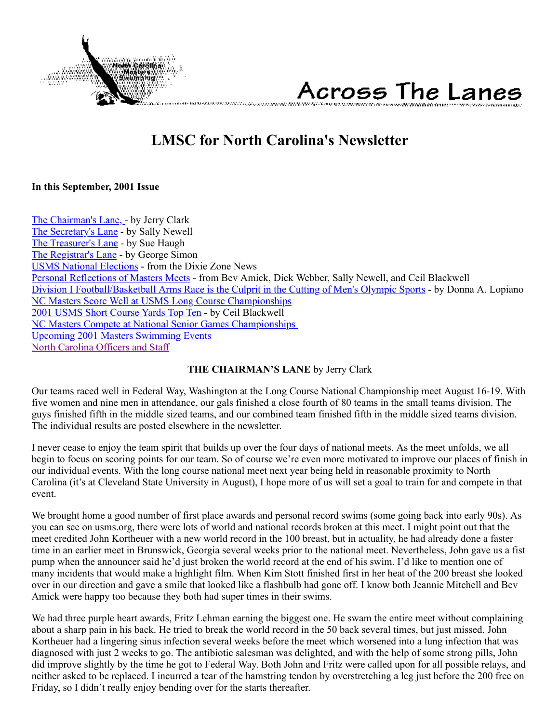

# Across The Lanes

# **LMSC for North Carolina's Newsletter**

#### <span id="page-0-1"></span>**In this September, 2001 Issue**

[The Chairman's Lane, -](#page-0-0) by Jerry Clark [The Secretary's Lane](#page-1-0) - by Sally Newell [The Treasurer's Lane](#page-2-0) - by Sue Haugh [The Registrar's Lane](#page-3-0) - by George Simon [USMS National Elections](#page-3-1) - from the Dixie Zone News [Personal Reflections of Masters Meets](#page-4-0) - from Bev Amick, Dick Webber, Sally Newell, and Ceil Blackwell [Division I Football/Basketball Arms Race is the Culprit in the Cutting of Men's Olympic Sports](#page-6-0) - by Donna A. Lopiano [NC Masters Score Well at USMS Long Course Championships](#page-7-0) [2001 USMS Short Course Yards Top Ten](#page-9-0) - by Ceil Blackwell [NC Masters Compete at National Senior Games Championships](#page-10-0)  [Upcoming 2001 Masters Swimming Events](#page-11-0) [North Carolina Officers and Staff](#page-11-1)

#### **THE CHAIRMAN'S LANE** by Jerry Clark

<span id="page-0-0"></span>Our teams raced well in Federal Way, Washington at the Long Course National Championship meet August 16-19. With five women and nine men in attendance, our gals finished a close fourth of 80 teams in the small teams division. The guys finished fifth in the middle sized teams, and our combined team finished fifth in the middle sized teams division. The individual results are posted elsewhere in the newsletter.

I never cease to enjoy the team spirit that builds up over the four days of national meets. As the meet unfolds, we all begin to focus on scoring points for our team. So of course we're even more motivated to improve our places of finish in our individual events. With the long course national meet next year being held in reasonable proximity to North Carolina (it's at Cleveland State University in August), I hope more of us will set a goal to train for and compete in that event.

We brought home a good number of first place awards and personal record swims (some going back into early 90s). As you can see on usms.org, there were lots of world and national records broken at this meet. I might point out that the meet credited John Kortheuer with a new world record in the 100 breast, but in actuality, he had already done a faster time in an earlier meet in Brunswick, Georgia several weeks prior to the national meet. Nevertheless, John gave us a fist pump when the announcer said he'd just broken the world record at the end of his swim. I'd like to mention one of many incidents that would make a highlight film. When Kim Stott finished first in her heat of the 200 breast she looked over in our direction and gave a smile that looked like a flashbulb had gone off. I know both Jeannie Mitchell and Bev Amick were happy too because they both had super times in their swims.

We had three purple heart awards, Fritz Lehman earning the biggest one. He swam the entire meet without complaining about a sharp pain in his back. He tried to break the world record in the 50 back several times, but just missed. John Kortheuer had a lingering sinus infection several weeks before the meet which worsened into a lung infection that was diagnosed with just 2 weeks to go. The antibiotic salesman was delighted, and with the help of some strong pills, John did improve slightly by the time he got to Federal Way. Both John and Fritz were called upon for all possible relays, and neither asked to be replaced. I incurred a tear of the hamstring tendon by overstretching a leg just before the 200 free on Friday, so I didn't really enjoy bending over for the starts thereafter.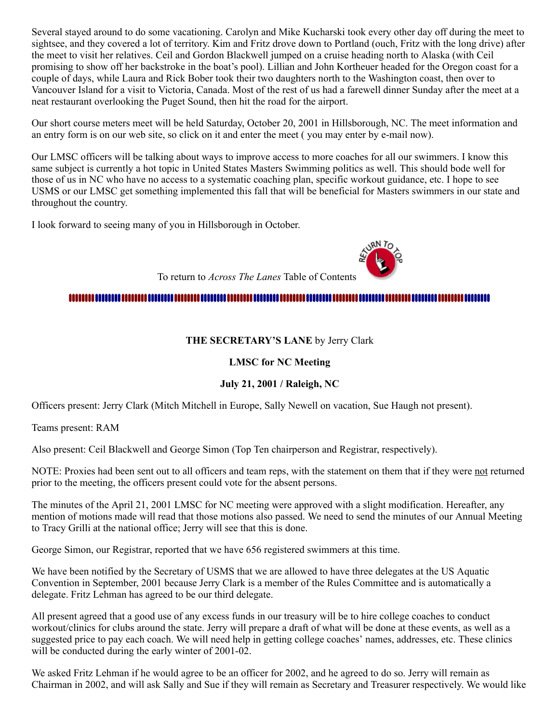Several stayed around to do some vacationing. Carolyn and Mike Kucharski took every other day off during the meet to sightsee, and they covered a lot of territory. Kim and Fritz drove down to Portland (ouch, Fritz with the long drive) after the meet to visit her relatives. Ceil and Gordon Blackwell jumped on a cruise heading north to Alaska (with Ceil promising to show off her backstroke in the boat's pool). Lillian and John Kortheuer headed for the Oregon coast for a couple of days, while Laura and Rick Bober took their two daughters north to the Washington coast, then over to Vancouver Island for a visit to Victoria, Canada. Most of the rest of us had a farewell dinner Sunday after the meet at a neat restaurant overlooking the Puget Sound, then hit the road for the airport.

Our short course meters meet will be held Saturday, October 20, 2001 in Hillsborough, NC. The meet information and an entry form is on our web site, so click on it and enter the meet ( you may enter by e-mail now).

Our LMSC officers will be talking about ways to improve access to more coaches for all our swimmers. I know this same subject is currently a hot topic in United States Masters Swimming politics as well. This should bode well for those of us in NC who have no access to a systematic coaching plan, specific workout guidance, etc. I hope to see USMS or our LMSC get something implemented this fall that will be beneficial for Masters swimmers in our state and throughout the country.

I look forward to seeing many of you in Hillsborough in October.

To return to *Across The Lanes* Table of Contents

#### <span id="page-1-0"></span>

#### **THE SECRETARY'S LANE** by Jerry Clark

#### **LMSC for NC Meeting**

#### **July 21, 2001 / Raleigh, NC**

Officers present: Jerry Clark (Mitch Mitchell in Europe, Sally Newell on vacation, Sue Haugh not present).

Teams present: RAM

Also present: Ceil Blackwell and George Simon (Top Ten chairperson and Registrar, respectively).

NOTE: Proxies had been sent out to all officers and team reps, with the statement on them that if they were not returned prior to the meeting, the officers present could vote for the absent persons.

The minutes of the April 21, 2001 LMSC for NC meeting were approved with a slight modification. Hereafter, any mention of motions made will read that those motions also passed. We need to send the minutes of our Annual Meeting to Tracy Grilli at the national office; Jerry will see that this is done.

George Simon, our Registrar, reported that we have 656 registered swimmers at this time.

We have been notified by the Secretary of USMS that we are allowed to have three delegates at the US Aquatic Convention in September, 2001 because Jerry Clark is a member of the Rules Committee and is automatically a delegate. Fritz Lehman has agreed to be our third delegate.

All present agreed that a good use of any excess funds in our treasury will be to hire college coaches to conduct workout/clinics for clubs around the state. Jerry will prepare a draft of what will be done at these events, as well as a suggested price to pay each coach. We will need help in getting college coaches' names, addresses, etc. These clinics will be conducted during the early winter of 2001-02.

We asked Fritz Lehman if he would agree to be an officer for 2002, and he agreed to do so. Jerry will remain as Chairman in 2002, and will ask Sally and Sue if they will remain as Secretary and Treasurer respectively. We would like

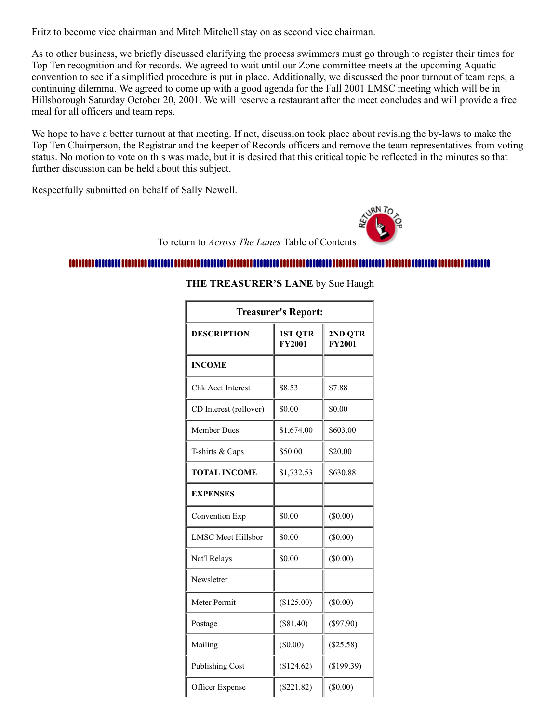Fritz to become vice chairman and Mitch Mitchell stay on as second vice chairman.

As to other business, we briefly discussed clarifying the process swimmers must go through to register their times for Top Ten recognition and for records. We agreed to wait until our Zone committee meets at the upcoming Aquatic convention to see if a simplified procedure is put in place. Additionally, we discussed the poor turnout of team reps, a continuing dilemma. We agreed to come up with a good agenda for the Fall 2001 LMSC meeting which will be in Hillsborough Saturday October 20, 2001. We will reserve a restaurant after the meet concludes and will provide a free meal for all officers and team reps.

We hope to have a better turnout at that meeting. If not, discussion took place about revising the by-laws to make the Top Ten Chairperson, the Registrar and the keeper of Records officers and remove the team representatives from voting status. No motion to vote on this was made, but it is desired that this critical topic be reflected in the minutes so that further discussion can be held about this subject.

Respectfully submitted on behalf of Sally Newell.

To return to *Across The Lanes* Table of Contents

#### <span id="page-2-0"></span>

#### **THE TREASURER'S LANE** by Sue Haugh

| <b>Treasurer's Report:</b> |                                 |                          |  |
|----------------------------|---------------------------------|--------------------------|--|
| <b>DESCRIPTION</b>         | <b>1ST QTR</b><br><b>FY2001</b> | 2ND QTR<br><b>FY2001</b> |  |
| <b>INCOME</b>              |                                 |                          |  |
| <b>Chk Acct Interest</b>   | \$8.53                          | \$7.88                   |  |
| CD Interest (rollover)     | \$0.00                          | \$0.00                   |  |
| <b>Member Dues</b>         | \$1,674.00                      | \$603.00                 |  |
| T-shirts & Caps            | \$50.00                         | \$20.00                  |  |
| <b>TOTAL INCOME</b>        | \$1,732.53                      | \$630.88                 |  |
| <b>EXPENSES</b>            |                                 |                          |  |
| Convention Exp             | \$0.00                          | $(\$0.00)$               |  |
| <b>LMSC</b> Meet Hillsbor  | \$0.00                          | (\$0.00)                 |  |
| Nat'l Relays               | \$0.00                          | $(\$0.00)$               |  |
| Newsletter                 |                                 |                          |  |
| Meter Permit               | (\$125.00)                      | $(\$0.00)$               |  |
| Postage                    | (\$81.40)                       | $(\$97.90)$              |  |
| Mailing                    | $(\$0.00)$                      | (\$25.58)                |  |
| <b>Publishing Cost</b>     | (\$124.62)                      | (\$199.39)               |  |
| Officer Expense            | $(\$221.82)$                    | (\$0.00)                 |  |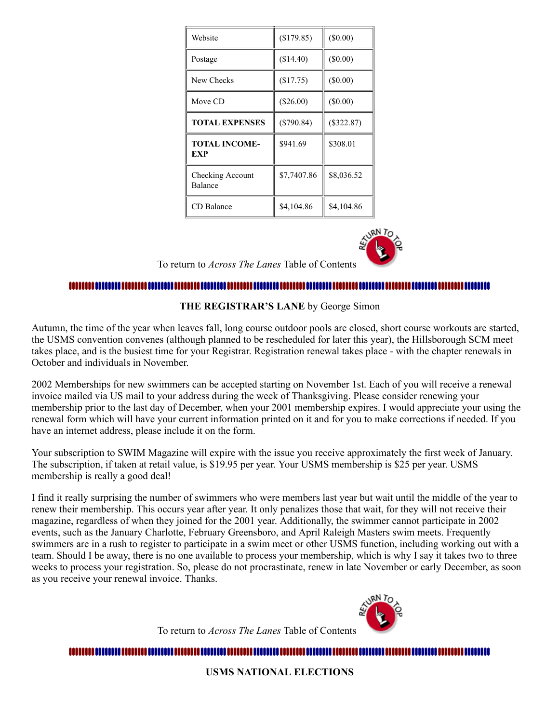| Website                     | (\$179.85)   | $(\$0.00)$   |
|-----------------------------|--------------|--------------|
| Postage                     | (\$14.40)    | $(\$0.00)$   |
| New Checks                  | (\$17.75)    | $(\$0.00)$   |
| Move CD                     | $(\$26.00)$  | $(\$0.00)$   |
| <b>TOTAL EXPENSES</b>       | $(\$790.84)$ | $(\$322.87)$ |
| <b>TOTAL INCOME-</b><br>EXP | \$941.69     | \$308.01     |
| Checking Account<br>Balance | \$7,7407.86  | \$8,036.52   |
| CD Balance                  | \$4,104.86   | \$4,104.86   |



#### 

**THE REGISTRAR'S LANE** by George Simon

<span id="page-3-0"></span>Autumn, the time of the year when leaves fall, long course outdoor pools are closed, short course workouts are started, the USMS convention convenes (although planned to be rescheduled for later this year), the Hillsborough SCM meet takes place, and is the busiest time for your Registrar. Registration renewal takes place - with the chapter renewals in October and individuals in November.

2002 Memberships for new swimmers can be accepted starting on November 1st. Each of you will receive a renewal invoice mailed via US mail to your address during the week of Thanksgiving. Please consider renewing your membership prior to the last day of December, when your 2001 membership expires. I would appreciate your using the renewal form which will have your current information printed on it and for you to make corrections if needed. If you have an internet address, please include it on the form.

Your subscription to SWIM Magazine will expire with the issue you receive approximately the first week of January. The subscription, if taken at retail value, is \$19.95 per year. Your USMS membership is \$25 per year. USMS membership is really a good deal!

I find it really surprising the number of swimmers who were members last year but wait until the middle of the year to renew their membership. This occurs year after year. It only penalizes those that wait, for they will not receive their magazine, regardless of when they joined for the 2001 year. Additionally, the swimmer cannot participate in 2002 events, such as the January Charlotte, February Greensboro, and April Raleigh Masters swim meets. Frequently swimmers are in a rush to register to participate in a swim meet or other USMS function, including working out with a team. Should I be away, there is no one available to process your membership, which is why I say it takes two to three weeks to process your registration. So, please do not procrastinate, renew in late November or early December, as soon as you receive your renewal invoice. Thanks.



To return to *Across The Lanes* Table of Contents

<span id="page-3-1"></span>

**USMS NATIONAL ELECTIONS**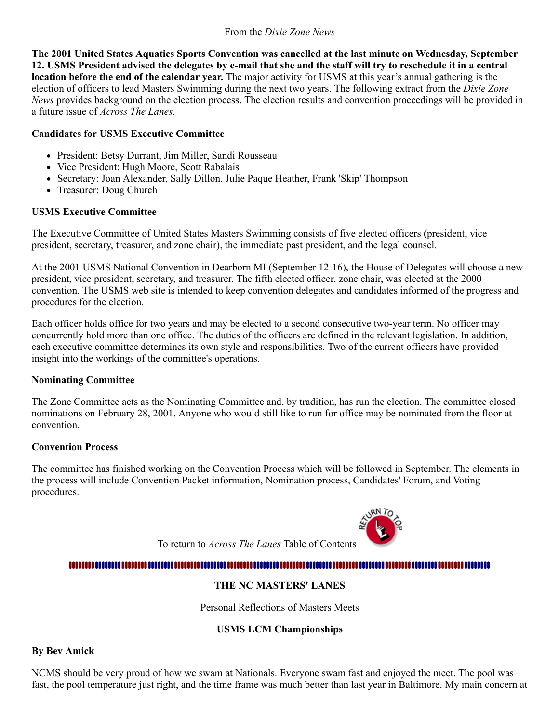#### From the *Dixie Zone News*

**The 2001 United States Aquatics Sports Convention was cancelled at the last minute on Wednesday, September 12. USMS President advised the delegates by e-mail that she and the staff will try to reschedule it in a central location before the end of the calendar year.** The major activity for USMS at this year's annual gathering is the election of officers to lead Masters Swimming during the next two years. The following extract from the *Dixie Zone News* provides background on the election process. The election results and convention proceedings will be provided in a future issue of *Across The Lanes*.

#### **Candidates for USMS Executive Committee**

- President: Betsy Durrant, Jim Miller, Sandi Rousseau
- Vice President: Hugh Moore, Scott Rabalais
- Secretary: Joan Alexander, Sally Dillon, Julie Paque Heather, Frank 'Skip' Thompson
- Treasurer: Doug Church

#### **USMS Executive Committee**

The Executive Committee of United States Masters Swimming consists of five elected officers (president, vice president, secretary, treasurer, and zone chair), the immediate past president, and the legal counsel.

At the 2001 USMS National Convention in Dearborn MI (September 12-16), the House of Delegates will choose a new president, vice president, secretary, and treasurer. The fifth elected officer, zone chair, was elected at the 2000 convention. The USMS web site is intended to keep convention delegates and candidates informed of the progress and procedures for the election.

Each officer holds office for two years and may be elected to a second consecutive two-year term. No officer may concurrently hold more than one office. The duties of the officers are defined in the relevant legislation. In addition, each executive committee determines its own style and responsibilities. Two of the current officers have provided insight into the workings of the committee's operations.

#### **Nominating Committee**

The Zone Committee acts as the Nominating Committee and, by tradition, has run the election. The committee closed nominations on February 28, 2001. Anyone who would still like to run for office may be nominated from the floor at convention.

#### **Convention Process**

The committee has finished working on the Convention Process which will be followed in September. The elements in the process will include Convention Packet information, Nomination process, Candidates' Forum, and Voting procedures.



To return to *Across The Lanes* Table of Contents

## <span id="page-4-0"></span>

## **THE NC MASTERS' LANES**

Personal Reflections of Masters Meets

#### **USMS LCM Championships**

#### **By Bev Amick**

NCMS should be very proud of how we swam at Nationals. Everyone swam fast and enjoyed the meet. The pool was fast, the pool temperature just right, and the time frame was much better than last year in Baltimore. My main concern at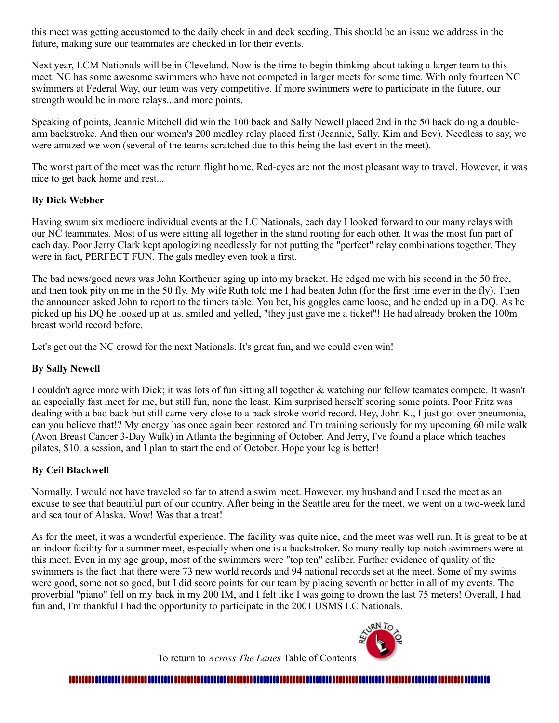this meet was getting accustomed to the daily check in and deck seeding. This should be an issue we address in the future, making sure our teammates are checked in for their events.

Next year, LCM Nationals will be in Cleveland. Now is the time to begin thinking about taking a larger team to this meet. NC has some awesome swimmers who have not competed in larger meets for some time. With only fourteen NC swimmers at Federal Way, our team was very competitive. If more swimmers were to participate in the future, our strength would be in more relays...and more points.

Speaking of points, Jeannie Mitchell did win the 100 back and Sally Newell placed 2nd in the 50 back doing a doublearm backstroke. And then our women's 200 medley relay placed first (Jeannie, Sally, Kim and Bev). Needless to say, we were amazed we won (several of the teams scratched due to this being the last event in the meet).

The worst part of the meet was the return flight home. Red-eyes are not the most pleasant way to travel. However, it was nice to get back home and rest...

#### **By Dick Webber**

Having swum six mediocre individual events at the LC Nationals, each day I looked forward to our many relays with our NC teammates. Most of us were sitting all together in the stand rooting for each other. It was the most fun part of each day. Poor Jerry Clark kept apologizing needlessly for not putting the "perfect" relay combinations together. They were in fact, PERFECT FUN. The gals medley even took a first.

The bad news/good news was John Kortheuer aging up into my bracket. He edged me with his second in the 50 free, and then took pity on me in the 50 fly. My wife Ruth told me I had beaten John (for the first time ever in the fly). Then the announcer asked John to report to the timers table. You bet, his goggles came loose, and he ended up in a DQ. As he picked up his DQ he looked up at us, smiled and yelled, "they just gave me a ticket"! He had already broken the 100m breast world record before.

Let's get out the NC crowd for the next Nationals. It's great fun, and we could even win!

#### **By Sally Newell**

I couldn't agree more with Dick; it was lots of fun sitting all together & watching our fellow teamates compete. It wasn't an especially fast meet for me, but still fun, none the least. Kim surprised herself scoring some points. Poor Fritz was dealing with a bad back but still came very close to a back stroke world record. Hey, John K., I just got over pneumonia, can you believe that!? My energy has once again been restored and I'm training seriously for my upcoming 60 mile walk (Avon Breast Cancer 3-Day Walk) in Atlanta the beginning of October. And Jerry, I've found a place which teaches pilates, \$10. a session, and I plan to start the end of October. Hope your leg is better!

#### **By Ceil Blackwell**

Normally, I would not have traveled so far to attend a swim meet. However, my husband and I used the meet as an excuse to see that beautiful part of our country. After being in the Seattle area for the meet, we went on a two-week land and sea tour of Alaska. Wow! Was that a treat!

As for the meet, it was a wonderful experience. The facility was quite nice, and the meet was well run. It is great to be at an indoor facility for a summer meet, especially when one is a backstroker. So many really top-notch swimmers were at this meet. Even in my age group, most of the swimmers were "top ten" caliber. Further evidence of quality of the swimmers is the fact that there were 73 new world records and 94 national records set at the meet. Some of my swims were good, some not so good, but I did score points for our team by placing seventh or better in all of my events. The proverbial "piano" fell on my back in my 200 IM, and I felt like I was going to drown the last 75 meters! Overall, I had fun and, I'm thankful I had the opportunity to participate in the 2001 USMS LC Nationals.



To return to *Across The Lanes* Table of Contents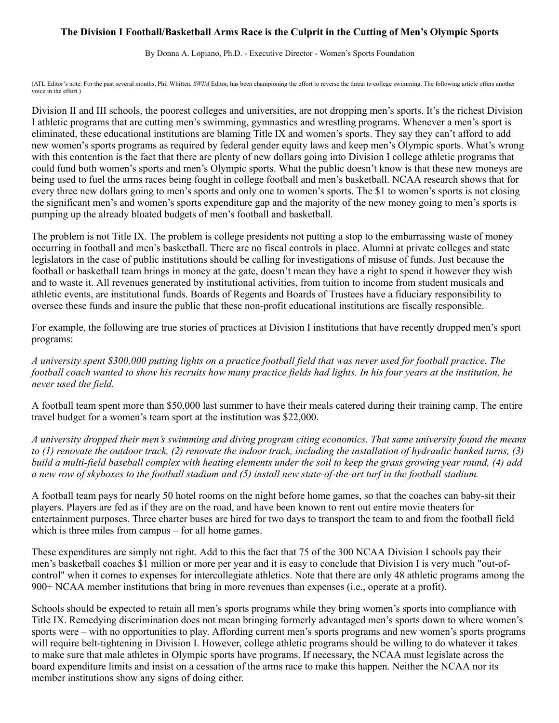#### <span id="page-6-0"></span>**The Division I Football/Basketball Arms Race is the Culprit in the Cutting of Men's Olympic Sports**

By Donna A. Lopiano, Ph.D. - Executive Director - Women's Sports Foundation

(ATL Editor's note: For the past several months, Phil Whitten, SWIM Editor, has been championing the effort to reverse the threat to college swimming. The following article offers another voice in the effort.)

Division II and III schools, the poorest colleges and universities, are not dropping men's sports. It's the richest Division I athletic programs that are cutting men's swimming, gymnastics and wrestling programs. Whenever a men's sport is eliminated, these educational institutions are blaming Title IX and women's sports. They say they can't afford to add new women's sports programs as required by federal gender equity laws and keep men's Olympic sports. What's wrong with this contention is the fact that there are plenty of new dollars going into Division I college athletic programs that could fund both women's sports and men's Olympic sports. What the public doesn't know is that these new moneys are being used to fuel the arms races being fought in college football and men's basketball. NCAA research shows that for every three new dollars going to men's sports and only one to women's sports. The \$1 to women's sports is not closing the significant men's and women's sports expenditure gap and the majority of the new money going to men's sports is pumping up the already bloated budgets of men's football and basketball.

The problem is not Title IX. The problem is college presidents not putting a stop to the embarrassing waste of money occurring in football and men's basketball. There are no fiscal controls in place. Alumni at private colleges and state legislators in the case of public institutions should be calling for investigations of misuse of funds. Just because the football or basketball team brings in money at the gate, doesn't mean they have a right to spend it however they wish and to waste it. All revenues generated by institutional activities, from tuition to income from student musicals and athletic events, are institutional funds. Boards of Regents and Boards of Trustees have a fiduciary responsibility to oversee these funds and insure the public that these non-profit educational institutions are fiscally responsible.

For example, the following are true stories of practices at Division I institutions that have recently dropped men's sport programs:

*A university spent \$300,000 putting lights on a practice football field that was never used for football practice. The football coach wanted to show his recruits how many practice fields had lights. In his four years at the institution, he never used the field.*

A football team spent more than \$50,000 last summer to have their meals catered during their training camp. The entire travel budget for a women's team sport at the institution was \$22,000.

*A university dropped their men's swimming and diving program citing economics. That same university found the means to (1) renovate the outdoor track, (2) renovate the indoor track, including the installation of hydraulic banked turns, (3) build a multi-field baseball complex with heating elements under the soil to keep the grass growing year round, (4) add a new row of skyboxes to the football stadium and (5) install new state-of-the-art turf in the football stadium.*

A football team pays for nearly 50 hotel rooms on the night before home games, so that the coaches can baby-sit their players. Players are fed as if they are on the road, and have been known to rent out entire movie theaters for entertainment purposes. Three charter buses are hired for two days to transport the team to and from the football field which is three miles from campus – for all home games.

These expenditures are simply not right. Add to this the fact that 75 of the 300 NCAA Division I schools pay their men's basketball coaches \$1 million or more per year and it is easy to conclude that Division I is very much "out-ofcontrol" when it comes to expenses for intercollegiate athletics. Note that there are only 48 athletic programs among the 900+ NCAA member institutions that bring in more revenues than expenses (i.e., operate at a profit).

Schools should be expected to retain all men's sports programs while they bring women's sports into compliance with Title IX. Remedying discrimination does not mean bringing formerly advantaged men's sports down to where women's sports were – with no opportunities to play. Affording current men's sports programs and new women's sports programs will require belt-tightening in Division I. However, college athletic programs should be willing to do whatever it takes to make sure that male athletes in Olympic sports have programs. If necessary, the NCAA must legislate across the board expenditure limits and insist on a cessation of the arms race to make this happen. Neither the NCAA nor its member institutions show any signs of doing either.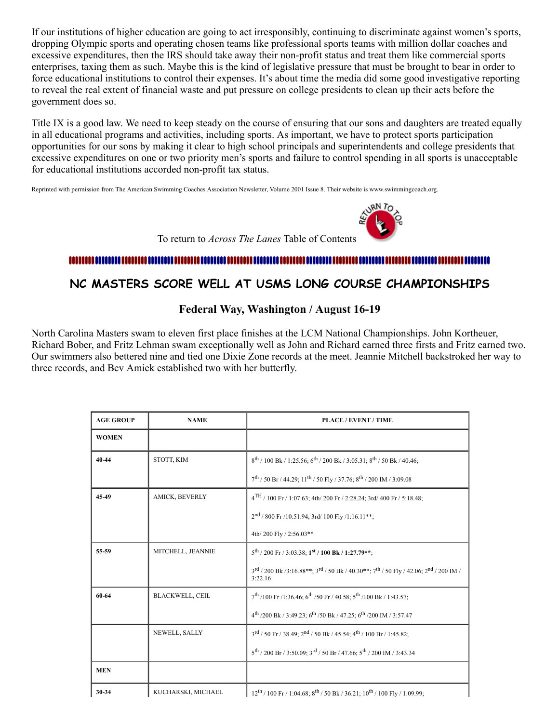If our institutions of higher education are going to act irresponsibly, continuing to discriminate against women's sports, dropping Olympic sports and operating chosen teams like professional sports teams with million dollar coaches and excessive expenditures, then the IRS should take away their non-profit status and treat them like commercial sports enterprises, taxing them as such. Maybe this is the kind of legislative pressure that must be brought to bear in order to force educational institutions to control their expenses. It's about time the media did some good investigative reporting to reveal the real extent of financial waste and put pressure on college presidents to clean up their acts before the government does so.

Title IX is a good law. We need to keep steady on the course of ensuring that our sons and daughters are treated equally in all educational programs and activities, including sports. As important, we have to protect sports participation opportunities for our sons by making it clear to high school principals and superintendents and college presidents that excessive expenditures on one or two priority men's sports and failure to control spending in all sports is unacceptable for educational institutions accorded non-profit tax status.

Reprinted with permission from The American Swimming Coaches Association Newsletter, Volume 2001 Issue 8. Their website is www.swimmingcoach.org.



To return to *Across The Lanes* Table of Contents

#### 

# <span id="page-7-0"></span>**NC MASTERS SCORE WELL AT USMS LONG COURSE CHAMPIONSHIPS**

#### **Federal Way, Washington / August 16-19**

North Carolina Masters swam to eleven first place finishes at the LCM National Championships. John Kortheuer, Richard Bober, and Fritz Lehman swam exceptionally well as John and Richard earned three firsts and Fritz earned two. Our swimmers also bettered nine and tied one Dixie Zone records at the meet. Jeannie Mitchell backstroked her way to three records, and Bev Amick established two with her butterfly.

| <b>AGE GROUP</b> | <b>NAME</b>            | <b>PLACE / EVENT / TIME</b>                                                                                                                     |
|------------------|------------------------|-------------------------------------------------------------------------------------------------------------------------------------------------|
| <b>WOMEN</b>     |                        |                                                                                                                                                 |
| 40-44            | STOTT, KIM             | $8^{th}$ / 100 Bk / 1:25.56; 6 <sup>th</sup> / 200 Bk / 3:05.31; 8 <sup>th</sup> / 50 Bk / 40.46;                                               |
|                  |                        | $7^{\text{th}}$ / 50 Br / 44.29; $11^{\text{th}}$ / 50 Fly / 37.76; $8^{\text{th}}$ / 200 IM / 3:09.08                                          |
| 45-49            | AMICK, BEVERLY         | $4^{TH}$ / 100 Fr / 1:07.63; 4th/ 200 Fr / 2:28.24; 3rd/ 400 Fr / 5:18.48;                                                                      |
|                  |                        | $2nd$ / 800 Fr /10:51.94; 3rd/ 100 Fly /1:16.11**;                                                                                              |
|                  |                        | 4th/200 Fly / 2:56.03**                                                                                                                         |
| 55-59            | MITCHELL, JEANNIE      | $5^{\text{th}}$ / 200 Fr / 3:03.38; 1st / 100 Bk / 1:27.79**;                                                                                   |
|                  |                        | $3^{\text{rd}}$ / 200 Bk /3:16.88**; $3^{\text{rd}}$ / 50 Bk / 40.30**; $7^{\text{th}}$ / 50 Fly / 42.06; $2^{\text{nd}}$ / 200 IM /<br>3:22.16 |
| 60-64            | <b>BLACKWELL, CEIL</b> | $7^{\text{th}}$ /100 Fr /1:36.46; 6 <sup>th</sup> /50 Fr / 40.58; 5 <sup>th</sup> /100 Bk / 1:43.57;                                            |
|                  |                        | 4 <sup>th</sup> /200 Bk / 3:49.23; 6 <sup>th</sup> /50 Bk / 47.25; 6 <sup>th</sup> /200 IM / 3:57.47                                            |
|                  | NEWELL, SALLY          | 3rd / 50 Fr / 38.49; 2nd / 50 Bk / 45.54; 4 <sup>th</sup> / 100 Br / 1:45.82;                                                                   |
|                  |                        | $5^{\rm th}$ / 200 Br / 3:50.09; $3^{\rm rd}$ / 50 Br / 47.66; $5^{\rm th}$ / 200 IM / 3:43.34                                                  |
| <b>MEN</b>       |                        |                                                                                                                                                 |
| 30-34            | KUCHARSKI, MICHAEL     | $12^{th}$ / 100 Fr / 1:04.68; 8 <sup>th</sup> / 50 Bk / 36.21; $10^{th}$ / 100 Fly / 1:09.99;                                                   |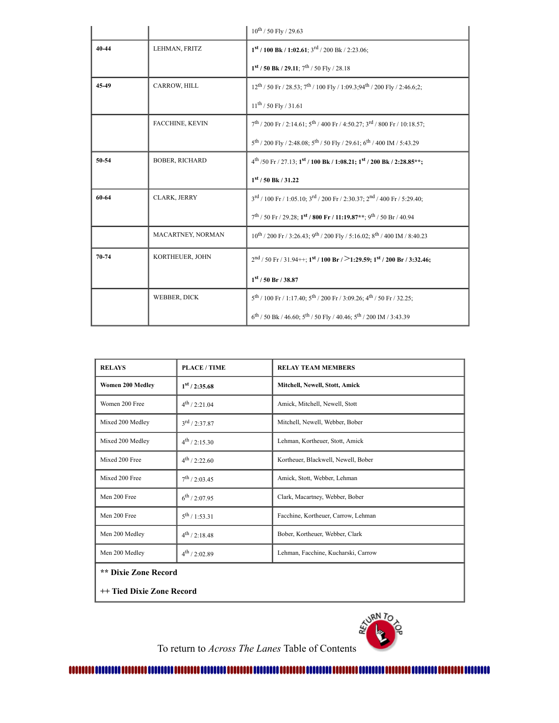|       |                        | $10^{\mbox{th}}$ / 50 Fly / 29.63                                                                            |
|-------|------------------------|--------------------------------------------------------------------------------------------------------------|
| 40-44 | LEHMAN, FRITZ          | $1st$ / 100 Bk / 1:02.61; 3 <sup>rd</sup> / 200 Bk / 2:23.06;                                                |
|       |                        | $1^{st}$ / 50 Bk / 29.11; $7^{th}$ / 50 Fly / 28.18                                                          |
| 45-49 | CARROW, HILL           | $12^{th}$ / 50 Fr / 28.53; $7^{th}$ / 100 Fly / 1:09.3;94 <sup>th</sup> / 200 Fly / 2:46.6;2;                |
|       |                        | $11^{th}$ / 50 Fly / 31.61                                                                                   |
|       | <b>FACCHINE, KEVIN</b> | $7^{\text{th}}$ / 200 Fr / 2:14.61; $5^{\text{th}}$ / 400 Fr / 4:50.27; $3^{\text{rd}}$ / 800 Fr / 10:18.57; |
|       |                        | 5 <sup>th</sup> / 200 Fly / 2:48.08; 5 <sup>th</sup> / 50 Fly / 29.61; 6 <sup>th</sup> / 400 IM / 5:43.29    |
| 50-54 | <b>BOBER, RICHARD</b>  | $4^{th}$ /50 Fr / 27.13; $1^{st}$ / 100 Bk / 1:08.21; $1^{st}$ / 200 Bk / 2:28.85**;                         |
|       |                        | 1 <sup>st</sup> / 50 Bk / 31.22                                                                              |
| 60-64 | CLARK, JERRY           | $3^{\text{rd}}$ / 100 Fr / 1:05.10; $3^{\text{rd}}$ / 200 Fr / 2:30.37; $2^{\text{nd}}$ / 400 Fr / 5:29.40;  |
|       |                        | $7^{\text{th}}$ / 50 Fr / 29.28; 1st / 800 Fr / 11:19.87**; 9th / 50 Br / 40.94                              |
|       | MACARTNEY, NORMAN      | 10 <sup>th</sup> / 200 Fr / 3:26.43; 9 <sup>th</sup> / 200 Fly / 5:16.02; 8 <sup>th</sup> / 400 IM / 8:40.23 |
| 70-74 | KORTHEUER, JOHN        | $2nd$ / 50 Fr / 31.94++; 1 <sup>st</sup> / 100 Br / >1:29.59; 1 <sup>st</sup> / 200 Br / 3:32.46;            |
|       |                        | $1^{st}$ / 50 Br / 38.87                                                                                     |
|       | WEBBER, DICK           | $5^{\text{th}}$ / 100 Fr / 1:17.40; $5^{\text{th}}$ / 200 Fr / 3:09.26; $4^{\text{th}}$ / 50 Fr / 32.25;     |
|       |                        | $6^{th}$ / 50 Bk / 46.60; $5^{th}$ / 50 Fly / 40.46; $5^{th}$ / 200 IM / 3:43.39                             |

| <b>RELAYS</b>               | <b>PLACE / TIME</b>       | <b>RELAY TEAM MEMBERS</b>           |  |
|-----------------------------|---------------------------|-------------------------------------|--|
| <b>Women 200 Medley</b>     | $1^{st}$ / 2:35.68        | Mitchell, Newell, Stott, Amick      |  |
| Women 200 Free              | $4^{th}$ / 2:21.04        | Amick, Mitchell, Newell, Stott      |  |
| Mixed 200 Medley            | $3^{\text{rd}}$ / 2:37.87 | Mitchell, Newell, Webber, Bober     |  |
| Mixed 200 Medley            | $4^{th}$ / 2:15.30        | Lehman, Kortheuer, Stott, Amick     |  |
| Mixed 200 Free              | $4^{th}$ / 2:22.60        | Kortheuer, Blackwell, Newell, Bober |  |
| Mixed 200 Free              | $7^{\text{th}}$ / 2:03.45 | Amick, Stott, Webber, Lehman        |  |
| Men 200 Free                | $6^{\text{th}}$ / 2:07.95 | Clark, Macartney, Webber, Bober     |  |
| Men 200 Free                | $5^{\text{th}}$ / 1:53.31 | Facchine, Kortheuer, Carrow, Lehman |  |
| Men 200 Medley              | $4^{th}$ / 2:18.48        | Bober, Kortheuer, Webber, Clark     |  |
| Men 200 Medley              | $4^{th}$ / 2:02.89        | Lehman, Facchine, Kucharski, Carrow |  |
| <b>** Dixie Zone Record</b> |                           |                                     |  |

**++ Tied Dixie Zone Record**



To return to *Across The Lanes* Table of Contents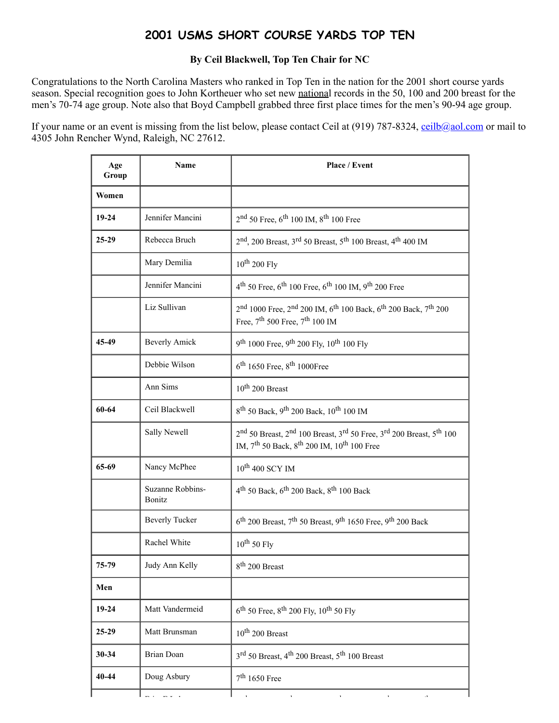# **2001 USMS SHORT COURSE YARDS TOP TEN**

#### **By Ceil Blackwell, Top Ten Chair for NC**

<span id="page-9-0"></span>Congratulations to the North Carolina Masters who ranked in Top Ten in the nation for the 2001 short course yards season. Special recognition goes to John Kortheuer who set new national records in the 50, 100 and 200 breast for the men's 70-74 age group. Note also that Boyd Campbell grabbed three first place times for the men's 90-94 age group.

If your name or an event is missing from the list below, please contact Ceil at (919) 787-8324, ceil $b$ @aol.com or mail to 4305 John Rencher Wynd, Raleigh, NC 27612.

| Age<br>Group | Name                       | Place / Event                                                                                                                                                                                                     |
|--------------|----------------------------|-------------------------------------------------------------------------------------------------------------------------------------------------------------------------------------------------------------------|
| Women        |                            |                                                                                                                                                                                                                   |
| 19-24        | Jennifer Mancini           | $2nd$ 50 Free, 6 <sup>th</sup> 100 IM, 8 <sup>th</sup> 100 Free                                                                                                                                                   |
| $25-29$      | Rebecca Bruch              | $2nd$ , 200 Breast, 3 <sup>rd</sup> 50 Breast, 5 <sup>th</sup> 100 Breast, 4 <sup>th</sup> 400 IM                                                                                                                 |
|              | Mary Demilia               | $10^{th}$ 200 Fly                                                                                                                                                                                                 |
|              | Jennifer Mancini           | $4^{th}$ 50 Free, 6 <sup>th</sup> 100 Free, 6 <sup>th</sup> 100 IM, 9 <sup>th</sup> 200 Free                                                                                                                      |
|              | Liz Sullivan               | 2 <sup>nd</sup> 1000 Free, 2 <sup>nd</sup> 200 IM, 6 <sup>th</sup> 100 Back, 6 <sup>th</sup> 200 Back, 7 <sup>th</sup> 200<br>Free, $7^{\text{th}}$ 500 Free, $7^{\text{th}}$ 100 IM                              |
| 45-49        | <b>Beverly Amick</b>       | 9 <sup>th</sup> 1000 Free, 9 <sup>th</sup> 200 Fly, 10 <sup>th</sup> 100 Fly                                                                                                                                      |
|              | Debbie Wilson              | 6 <sup>th</sup> 1650 Free, 8 <sup>th</sup> 1000Free                                                                                                                                                               |
|              | Ann Sims                   | $10^{th}$ 200 Breast                                                                                                                                                                                              |
| 60-64        | Ceil Blackwell             | 8 <sup>th</sup> 50 Back, 9 <sup>th</sup> 200 Back, 10 <sup>th</sup> 100 IM                                                                                                                                        |
|              | Sally Newell               | 2 <sup>nd</sup> 50 Breast, 2 <sup>nd</sup> 100 Breast, 3 <sup>rd</sup> 50 Free, 3 <sup>rd</sup> 200 Breast, 5 <sup>th</sup> 100<br>IM, 7 <sup>th</sup> 50 Back, 8 <sup>th</sup> 200 IM, 10 <sup>th</sup> 100 Free |
| 65-69        | Nancy McPhee               | 10 <sup>th</sup> 400 SCY IM                                                                                                                                                                                       |
|              | Suzanne Robbins-<br>Bonitz | $4th$ 50 Back, 6 <sup>th</sup> 200 Back, 8 <sup>th</sup> 100 Back                                                                                                                                                 |
|              | <b>Beverly Tucker</b>      | 6 <sup>th</sup> 200 Breast, 7 <sup>th</sup> 50 Breast, 9 <sup>th</sup> 1650 Free, 9 <sup>th</sup> 200 Back                                                                                                        |
|              | Rachel White               | $10^{th}$ 50 Fly                                                                                                                                                                                                  |
| 75-79        | Judy Ann Kelly             | 8 <sup>th</sup> 200 Breast                                                                                                                                                                                        |
| Men          |                            |                                                                                                                                                                                                                   |
| $19 - 24$    | Matt Vandermeid            | $6^{th}$ 50 Free, $8^{th}$ 200 Fly, $10^{th}$ 50 Fly                                                                                                                                                              |
| 25-29        | Matt Brunsman              | $10^{th}$ 200 Breast                                                                                                                                                                                              |
| $30 - 34$    | Brian Doan                 | 3 <sup>rd</sup> 50 Breast, 4 <sup>th</sup> 200 Breast, 5 <sup>th</sup> 100 Breast                                                                                                                                 |
| 40-44        | Doug Asbury                | $7th 1650$ Free                                                                                                                                                                                                   |
|              |                            |                                                                                                                                                                                                                   |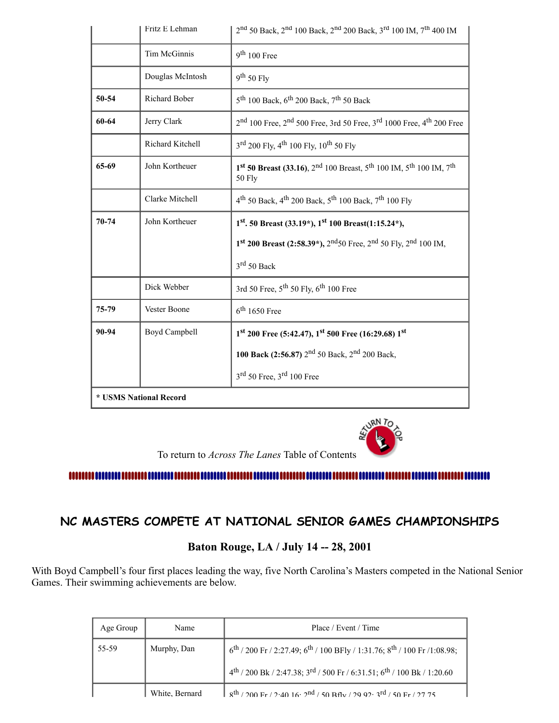|           | Fritz E Lehman         | 2nd 50 Back, 2nd 100 Back, 2nd 200 Back, 3rd 100 IM, 7 <sup>th</sup> 400 IM                                                  |
|-----------|------------------------|------------------------------------------------------------------------------------------------------------------------------|
|           | Tim McGinnis           | $9th 100$ Free                                                                                                               |
|           | Douglas McIntosh       | $9^{th}$ 50 Fly                                                                                                              |
| 50-54     | Richard Bober          | $5^{\text{th}}$ 100 Back, $6^{\text{th}}$ 200 Back, 7 <sup>th</sup> 50 Back                                                  |
| 60-64     | Jerry Clark            | 2 <sup>nd</sup> 100 Free, 2 <sup>nd</sup> 500 Free, 3rd 50 Free, 3 <sup>rd</sup> 1000 Free, 4 <sup>th</sup> 200 Free         |
|           | Richard Kitchell       | 3 <sup>rd</sup> 200 Fly, 4 <sup>th</sup> 100 Fly, 10 <sup>th</sup> 50 Fly                                                    |
| 65-69     | John Kortheuer         | 1st 50 Breast (33.16), 2 <sup>nd</sup> 100 Breast, 5 <sup>th</sup> 100 IM, 5 <sup>th</sup> 100 IM, 7 <sup>th</sup><br>50 Fly |
|           | Clarke Mitchell        | 4 <sup>th</sup> 50 Back, 4 <sup>th</sup> 200 Back, 5 <sup>th</sup> 100 Back, 7 <sup>th</sup> 100 Fly                         |
| $70 - 74$ | John Kortheuer         | $1st$ . 50 Breast (33.19*), $1st$ 100 Breast(1:15.24*),                                                                      |
|           |                        | 1st 200 Breast (2:58.39*), 2 <sup>nd</sup> 50 Free, 2 <sup>nd</sup> 50 Fly, 2 <sup>nd</sup> 100 IM,                          |
|           |                        | $3rd 50$ Back                                                                                                                |
|           | Dick Webber            | 3rd 50 Free, 5 <sup>th</sup> 50 Fly, 6 <sup>th</sup> 100 Free                                                                |
| 75-79     | Vester Boone           | $6th$ 1650 Free                                                                                                              |
| 90-94     | Boyd Campbell          | 1st 200 Free (5:42.47), 1st 500 Free (16:29.68) 1st                                                                          |
|           |                        | 100 Back (2:56.87) 2 <sup>nd</sup> 50 Back, 2 <sup>nd</sup> 200 Back,                                                        |
|           |                        | $3rd 50$ Free, $3rd 100$ Free                                                                                                |
|           | * USMS National Record |                                                                                                                              |



# <span id="page-10-0"></span>**NC MASTERS COMPETE AT NATIONAL SENIOR GAMES CHAMPIONSHIPS**

# **Baton Rouge, LA / July 14 -- 28, 2001**

With Boyd Campbell's four first places leading the way, five North Carolina's Masters competed in the National Senior Games. Their swimming achievements are below.

| Age Group | Name           | Place / Event / Time                                                                         |
|-----------|----------------|----------------------------------------------------------------------------------------------|
| 55-59     | Murphy, Dan    | $6^{th}$ / 200 Fr / 2:27.49; $6^{th}$ / 100 BFly / 1:31.76; $8^{th}$ / 100 Fr /1:08.98;      |
|           |                | $4^{th}$ / 200 Bk / 2:47.38; $3^{rd}$ / 500 Fr / 6:31.51; $6^{th}$ / 100 Bk / 1:20.60        |
|           | White, Bernard | $8th$ / 200 Fr / 2:40 16: 2 <sup>nd</sup> / 50 Bflv / 29 92: 3 <sup>rd</sup> / 50 Fr / 27 75 |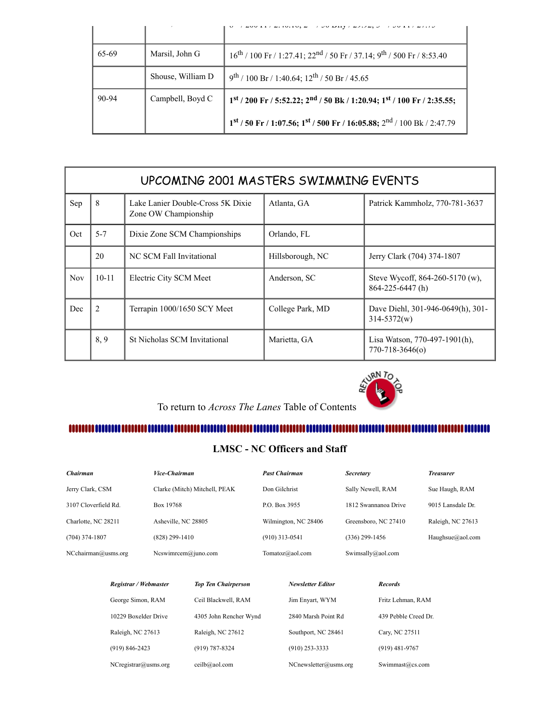|       |                   | $-00$ ii $\ell = 0.10.10$ , $-1$ $-1$ $-0$ $-1$ $-1$                                               |
|-------|-------------------|----------------------------------------------------------------------------------------------------|
| 65-69 | Marsil, John G    | $16^{th}$ / 100 Fr / 1:27.41; 22 <sup>nd</sup> / 50 Fr / 37.14; 9 <sup>th</sup> / 500 Fr / 8:53.40 |
|       | Shouse, William D | $9^{th}$ / 100 Br / 1:40.64; 12 <sup>th</sup> / 50 Br / 45.65                                      |
| 90-94 | Campbell, Boyd C  | $1st$ / 200 Fr / 5:52.22; $2nd$ / 50 Bk / 1:20.94; $1st$ / 100 Fr / 2:35.55;                       |
|       |                   | $1^{st}$ / 50 Fr / 1:07.56; $1^{st}$ / 500 Fr / 16:05.88; $2^{nd}$ / 100 Bk / 2:47.79              |

<span id="page-11-0"></span>

|     | UPCOMING 2001 MASTERS SWIMMING EVENTS |                                                           |                  |                                                           |  |  |
|-----|---------------------------------------|-----------------------------------------------------------|------------------|-----------------------------------------------------------|--|--|
| Sep | 8                                     | Lake Lanier Double-Cross 5K Dixie<br>Zone OW Championship | Atlanta, GA      | Patrick Kammholz, 770-781-3637                            |  |  |
| Oct | $5 - 7$                               | Dixie Zone SCM Championships                              | Orlando, FL      |                                                           |  |  |
|     | 20                                    | NC SCM Fall Invitational                                  | Hillsborough, NC | Jerry Clark (704) 374-1807                                |  |  |
| Nov | $10 - 11$                             | Electric City SCM Meet                                    | Anderson, SC     | Steve Wycoff, 864-260-5170 (w),<br>$864 - 225 - 6447$ (h) |  |  |
| Dec | 2                                     | Terrapin 1000/1650 SCY Meet                               | College Park, MD | Dave Diehl, 301-946-0649(h), 301-<br>$314 - 5372(w)$      |  |  |
|     | 8,9                                   | St Nicholas SCM Invitational                              | Marietta, GA     | Lisa Watson, 770-497-1901(h),<br>770-718-3646(o)          |  |  |



#### 

#### **LMSC - NC Officers and Staff**

<span id="page-11-1"></span>

| Chairman             | <i><b>Vice-Chairman</b></i>   | <b>Past Chairman</b> | <b>Secretary</b>     | <b>Treasurer</b>  |
|----------------------|-------------------------------|----------------------|----------------------|-------------------|
| Jerry Clark, CSM     | Clarke (Mitch) Mitchell, PEAK | Don Gilchrist        | Sally Newell, RAM    | Sue Haugh, RAM    |
| 3107 Cloverfield Rd. | Box 19768                     | P.O. Box 3955        | 1812 Swannanoa Drive | 9015 Lansdale Dr. |
| Charlotte, NC 28211  | Asheville, NC 28805           | Wilmington, NC 28406 | Greensboro, NC 27410 | Raleigh, NC 27613 |
| $(704)$ 374-1807     | $(828)$ 299-1410              | $(910)$ 313-0541     | $(336)$ 299-1456     | Haughsue@aol.com  |
| NCehairman@usms.org  | Ncswimrcem@juno.com           | Tomatoz@aol.com      | Swimsally@aol.com    |                   |

| Registrar / Webmaster   | <b>Top Ten Chairperson</b> | <b>Newsletter Editor</b> | <b>Records</b>       |
|-------------------------|----------------------------|--------------------------|----------------------|
| George Simon, RAM       | Ceil Blackwell, RAM        | Jim Envart, WYM          | Fritz Lehman, RAM    |
| 10229 Boxelder Drive    | 4305 John Rencher Wynd     | 2840 Marsh Point Rd      | 439 Pebble Creed Dr. |
| Raleigh, NC 27613       | Raleigh, NC 27612          | Southport, NC 28461      | Cary, NC 27511       |
| $(919) 846 - 2423$      | (919) 787-8324             | $(910)$ 253-3333         | $(919)$ 481-9767     |
| $NC$ registrar@usms.org | ceilb@aol.com              | NCnewsletter@usms.org    | Swimmast@cs.com      |